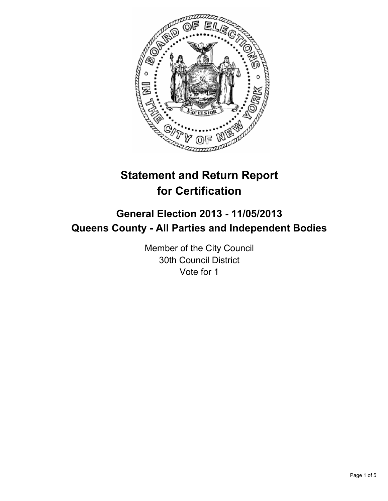

# **Statement and Return Report for Certification**

## **General Election 2013 - 11/05/2013 Queens County - All Parties and Independent Bodies**

Member of the City Council 30th Council District Vote for 1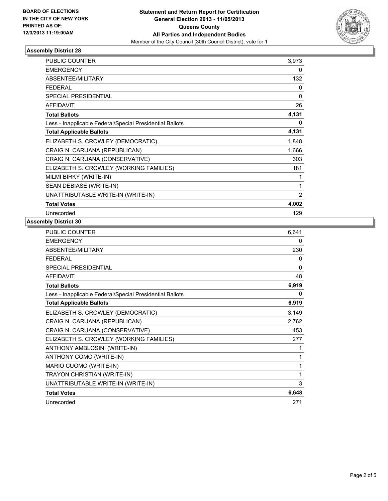

## **Assembly District 28**

| PUBLIC COUNTER                                           | 3,973          |
|----------------------------------------------------------|----------------|
| <b>EMERGENCY</b>                                         | 0              |
| <b>ABSENTEE/MILITARY</b>                                 | 132            |
| <b>FEDERAL</b>                                           | 0              |
| <b>SPECIAL PRESIDENTIAL</b>                              | 0              |
| <b>AFFIDAVIT</b>                                         | 26             |
| <b>Total Ballots</b>                                     | 4,131          |
| Less - Inapplicable Federal/Special Presidential Ballots | 0              |
| <b>Total Applicable Ballots</b>                          | 4,131          |
| ELIZABETH S. CROWLEY (DEMOCRATIC)                        | 1,848          |
| CRAIG N. CARUANA (REPUBLICAN)                            | 1,666          |
| CRAIG N. CARUANA (CONSERVATIVE)                          | 303            |
| ELIZABETH S. CROWLEY (WORKING FAMILIES)                  | 181            |
| MILMI BIRKY (WRITE-IN)                                   |                |
| SEAN DEBIASE (WRITE-IN)                                  | 1              |
| UNATTRIBUTABLE WRITE-IN (WRITE-IN)                       | $\overline{2}$ |
| <b>Total Votes</b>                                       | 4,002          |
| Unrecorded                                               | 129            |

#### **Assembly District 30**

| <b>PUBLIC COUNTER</b>                                    | 6,641        |
|----------------------------------------------------------|--------------|
| <b>EMERGENCY</b>                                         | 0            |
| ABSENTEE/MILITARY                                        | 230          |
| <b>FFDFRAL</b>                                           | 0            |
| <b>SPECIAL PRESIDENTIAL</b>                              | $\mathbf{0}$ |
| <b>AFFIDAVIT</b>                                         | 48           |
| <b>Total Ballots</b>                                     | 6,919        |
| Less - Inapplicable Federal/Special Presidential Ballots | 0            |
| <b>Total Applicable Ballots</b>                          | 6,919        |
| ELIZABETH S. CROWLEY (DEMOCRATIC)                        | 3,149        |
| CRAIG N. CARUANA (REPUBLICAN)                            | 2,762        |
| CRAIG N. CARUANA (CONSERVATIVE)                          | 453          |
| ELIZABETH S. CROWLEY (WORKING FAMILIES)                  | 277          |
| ANTHONY AMBLOSINI (WRITE-IN)                             | 1            |
| ANTHONY COMO (WRITE-IN)                                  | 1            |
| MARIO CUOMO (WRITE-IN)                                   | 1            |
| TRAYON CHRISTIAN (WRITE-IN)                              | 1            |
| UNATTRIBUTABLE WRITE-IN (WRITE-IN)                       | 3            |
| <b>Total Votes</b>                                       | 6,648        |
| Unrecorded                                               | 271          |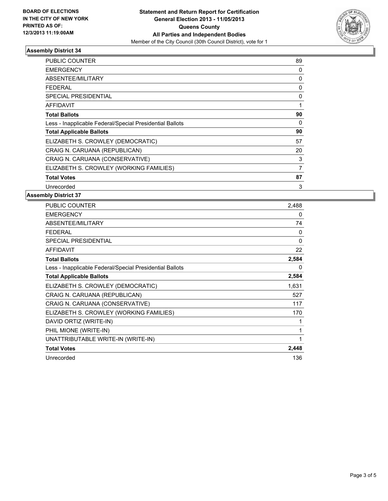

## **Assembly District 34**

| <b>PUBLIC COUNTER</b>                                    | 89 |
|----------------------------------------------------------|----|
| <b>EMERGENCY</b>                                         | 0  |
| ABSENTEE/MILITARY                                        | 0  |
| <b>FEDERAL</b>                                           | 0  |
| <b>SPECIAL PRESIDENTIAL</b>                              | 0  |
| AFFIDAVIT                                                | 1  |
| <b>Total Ballots</b>                                     | 90 |
| Less - Inapplicable Federal/Special Presidential Ballots | 0  |
| <b>Total Applicable Ballots</b>                          | 90 |
| ELIZABETH S. CROWLEY (DEMOCRATIC)                        | 57 |
| CRAIG N. CARUANA (REPUBLICAN)                            | 20 |
| CRAIG N. CARUANA (CONSERVATIVE)                          | 3  |
| ELIZABETH S. CROWLEY (WORKING FAMILIES)                  | 7  |
| <b>Total Votes</b>                                       | 87 |
| Unrecorded                                               | 3  |

#### **Assembly District 37**

| <b>PUBLIC COUNTER</b>                                    | 2,488    |
|----------------------------------------------------------|----------|
| <b>EMERGENCY</b>                                         | 0        |
| <b>ABSENTEE/MILITARY</b>                                 | 74       |
| <b>FEDERAL</b>                                           | $\Omega$ |
| <b>SPECIAL PRESIDENTIAL</b>                              | $\Omega$ |
| <b>AFFIDAVIT</b>                                         | 22       |
| <b>Total Ballots</b>                                     | 2,584    |
| Less - Inapplicable Federal/Special Presidential Ballots | 0        |
| <b>Total Applicable Ballots</b>                          | 2,584    |
| ELIZABETH S. CROWLEY (DEMOCRATIC)                        | 1,631    |
| CRAIG N. CARUANA (REPUBLICAN)                            | 527      |
| CRAIG N. CARUANA (CONSERVATIVE)                          | 117      |
| ELIZABETH S. CROWLEY (WORKING FAMILIES)                  | 170      |
| DAVID ORTIZ (WRITE-IN)                                   |          |
| PHIL MIONE (WRITE-IN)                                    | 1        |
| UNATTRIBUTABLE WRITE-IN (WRITE-IN)                       | 1        |
| <b>Total Votes</b>                                       | 2,448    |
| Unrecorded                                               | 136      |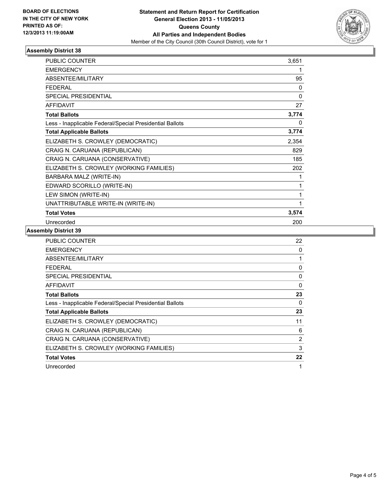

## **Assembly District 38**

| <b>PUBLIC COUNTER</b>                                    | 3,651 |
|----------------------------------------------------------|-------|
| <b>EMERGENCY</b>                                         |       |
| <b>ABSENTEE/MILITARY</b>                                 | 95    |
| <b>FEDERAL</b>                                           | 0     |
| <b>SPECIAL PRESIDENTIAL</b>                              | 0     |
| <b>AFFIDAVIT</b>                                         | 27    |
| <b>Total Ballots</b>                                     | 3,774 |
| Less - Inapplicable Federal/Special Presidential Ballots | 0     |
| <b>Total Applicable Ballots</b>                          | 3,774 |
| ELIZABETH S. CROWLEY (DEMOCRATIC)                        | 2,354 |
| CRAIG N. CARUANA (REPUBLICAN)                            | 829   |
| CRAIG N. CARUANA (CONSERVATIVE)                          | 185   |
| ELIZABETH S. CROWLEY (WORKING FAMILIES)                  | 202   |
| BARBARA MALZ (WRITE-IN)                                  |       |
| EDWARD SCORILLO (WRITE-IN)                               | 1     |
| LEW SIMON (WRITE-IN)                                     | 1     |
| UNATTRIBUTABLE WRITE-IN (WRITE-IN)                       | 1     |
| <b>Total Votes</b>                                       | 3,574 |
| Unrecorded                                               | 200   |

## **Assembly District 39**

| <b>PUBLIC COUNTER</b>                                    | 22       |
|----------------------------------------------------------|----------|
| <b>EMERGENCY</b>                                         | 0        |
| ABSENTEE/MILITARY                                        | 1        |
| FEDERAL                                                  | 0        |
| SPECIAL PRESIDENTIAL                                     | $\Omega$ |
| <b>AFFIDAVIT</b>                                         | 0        |
| <b>Total Ballots</b>                                     | 23       |
| Less - Inapplicable Federal/Special Presidential Ballots | 0        |
| <b>Total Applicable Ballots</b>                          | 23       |
| ELIZABETH S. CROWLEY (DEMOCRATIC)                        | 11       |
| CRAIG N. CARUANA (REPUBLICAN)                            | 6        |
| CRAIG N. CARUANA (CONSERVATIVE)                          | 2        |
| ELIZABETH S. CROWLEY (WORKING FAMILIES)                  | 3        |
| <b>Total Votes</b>                                       | 22       |
| Unrecorded                                               | 1        |